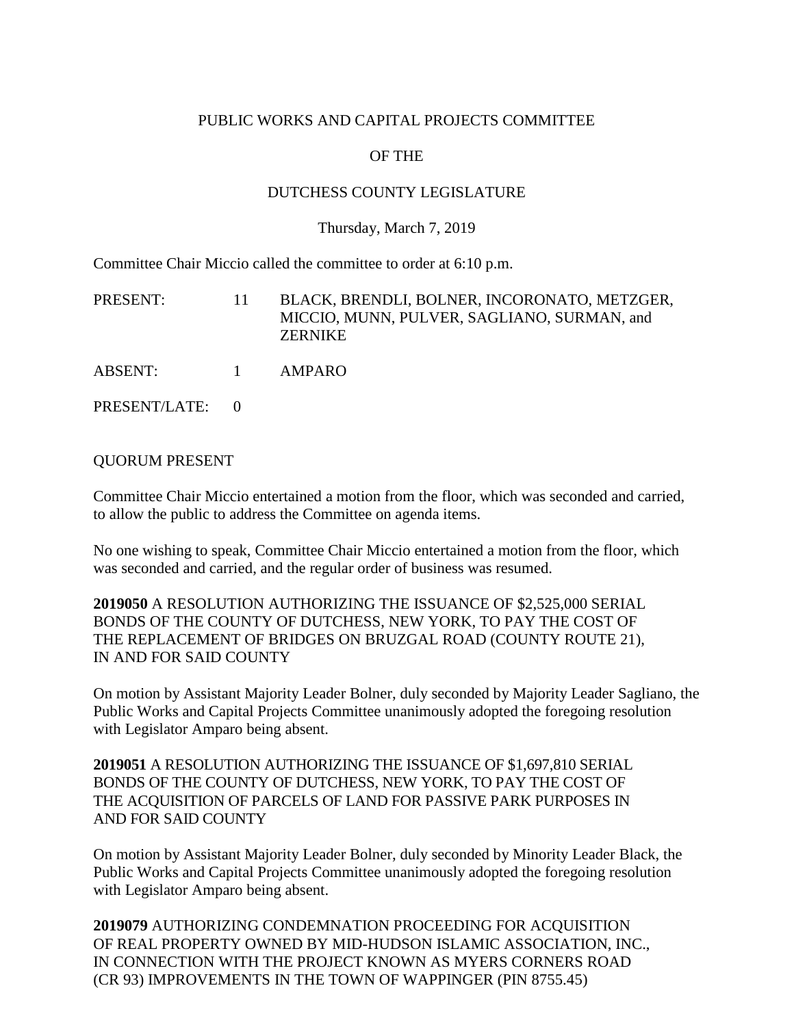## PUBLIC WORKS AND CAPITAL PROJECTS COMMITTEE

# OF THE

## DUTCHESS COUNTY LEGISLATURE

### Thursday, March 7, 2019

Committee Chair Miccio called the committee to order at 6:10 p.m.

| PRESENT:      | -11      | BLACK, BRENDLI, BOLNER, INCORONATO, METZGER,<br>MICCIO, MUNN, PULVER, SAGLIANO, SURMAN, and<br><b>ZERNIKE</b> |
|---------------|----------|---------------------------------------------------------------------------------------------------------------|
| ABSENT:       | $\sim$ 1 | AMPARO                                                                                                        |
| PRESENT/LATE: |          |                                                                                                               |

### QUORUM PRESENT

Committee Chair Miccio entertained a motion from the floor, which was seconded and carried, to allow the public to address the Committee on agenda items.

No one wishing to speak, Committee Chair Miccio entertained a motion from the floor, which was seconded and carried, and the regular order of business was resumed.

**2019050** A RESOLUTION AUTHORIZING THE ISSUANCE OF \$2,525,000 SERIAL BONDS OF THE COUNTY OF DUTCHESS, NEW YORK, TO PAY THE COST OF THE REPLACEMENT OF BRIDGES ON BRUZGAL ROAD (COUNTY ROUTE 21), IN AND FOR SAID COUNTY

On motion by Assistant Majority Leader Bolner, duly seconded by Majority Leader Sagliano, the Public Works and Capital Projects Committee unanimously adopted the foregoing resolution with Legislator Amparo being absent.

**2019051** A RESOLUTION AUTHORIZING THE ISSUANCE OF \$1,697,810 SERIAL BONDS OF THE COUNTY OF DUTCHESS, NEW YORK, TO PAY THE COST OF THE ACQUISITION OF PARCELS OF LAND FOR PASSIVE PARK PURPOSES IN AND FOR SAID COUNTY

On motion by Assistant Majority Leader Bolner, duly seconded by Minority Leader Black, the Public Works and Capital Projects Committee unanimously adopted the foregoing resolution with Legislator Amparo being absent.

**2019079** AUTHORIZING CONDEMNATION PROCEEDING FOR ACQUISITION OF REAL PROPERTY OWNED BY MID-HUDSON ISLAMIC ASSOCIATION, INC., IN CONNECTION WITH THE PROJECT KNOWN AS MYERS CORNERS ROAD (CR 93) IMPROVEMENTS IN THE TOWN OF WAPPINGER (PIN 8755.45)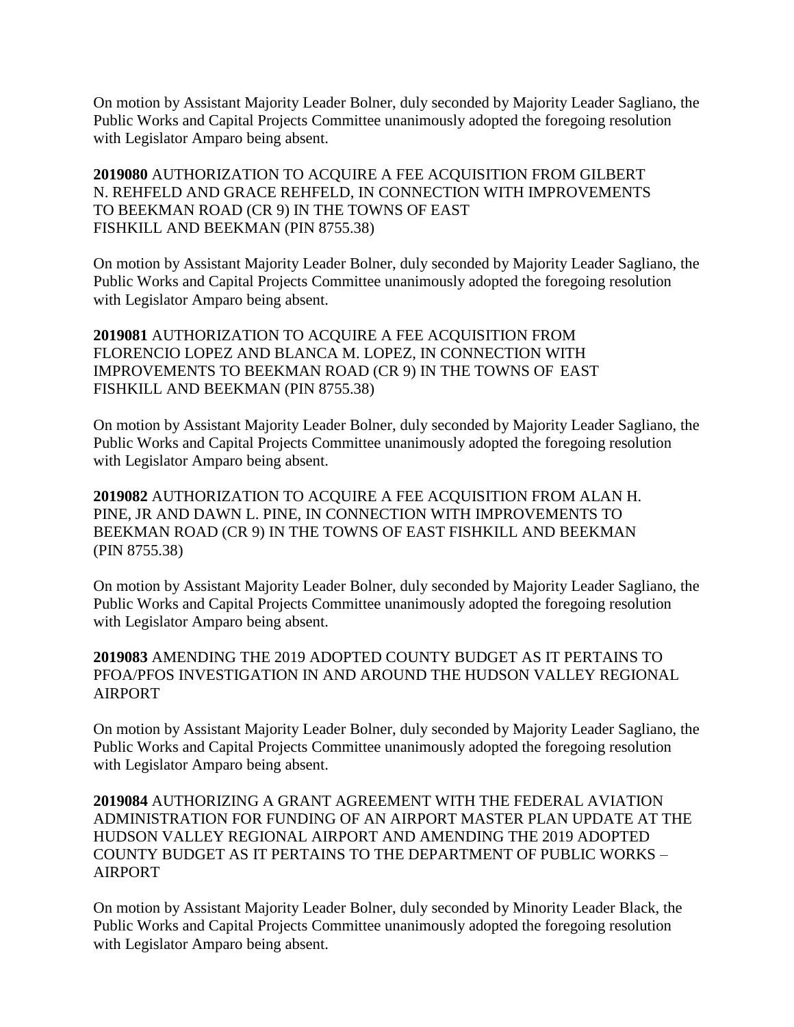On motion by Assistant Majority Leader Bolner, duly seconded by Majority Leader Sagliano, the Public Works and Capital Projects Committee unanimously adopted the foregoing resolution with Legislator Amparo being absent.

**2019080** AUTHORIZATION TO ACQUIRE A FEE ACQUISITION FROM GILBERT N. REHFELD AND GRACE REHFELD, IN CONNECTION WITH IMPROVEMENTS TO BEEKMAN ROAD (CR 9) IN THE TOWNS OF EAST FISHKILL AND BEEKMAN (PIN 8755.38)

On motion by Assistant Majority Leader Bolner, duly seconded by Majority Leader Sagliano, the Public Works and Capital Projects Committee unanimously adopted the foregoing resolution with Legislator Amparo being absent.

**2019081** AUTHORIZATION TO ACQUIRE A FEE ACQUISITION FROM FLORENCIO LOPEZ AND BLANCA M. LOPEZ, IN CONNECTION WITH IMPROVEMENTS TO BEEKMAN ROAD (CR 9) IN THE TOWNS OF EAST FISHKILL AND BEEKMAN (PIN 8755.38)

On motion by Assistant Majority Leader Bolner, duly seconded by Majority Leader Sagliano, the Public Works and Capital Projects Committee unanimously adopted the foregoing resolution with Legislator Amparo being absent.

**2019082** AUTHORIZATION TO ACQUIRE A FEE ACQUISITION FROM ALAN H. PINE, JR AND DAWN L. PINE, IN CONNECTION WITH IMPROVEMENTS TO BEEKMAN ROAD (CR 9) IN THE TOWNS OF EAST FISHKILL AND BEEKMAN (PIN 8755.38)

On motion by Assistant Majority Leader Bolner, duly seconded by Majority Leader Sagliano, the Public Works and Capital Projects Committee unanimously adopted the foregoing resolution with Legislator Amparo being absent.

**2019083** AMENDING THE 2019 ADOPTED COUNTY BUDGET AS IT PERTAINS TO PFOA/PFOS INVESTIGATION IN AND AROUND THE HUDSON VALLEY REGIONAL AIRPORT

On motion by Assistant Majority Leader Bolner, duly seconded by Majority Leader Sagliano, the Public Works and Capital Projects Committee unanimously adopted the foregoing resolution with Legislator Amparo being absent.

**2019084** AUTHORIZING A GRANT AGREEMENT WITH THE FEDERAL AVIATION ADMINISTRATION FOR FUNDING OF AN AIRPORT MASTER PLAN UPDATE AT THE HUDSON VALLEY REGIONAL AIRPORT AND AMENDING THE 2019 ADOPTED COUNTY BUDGET AS IT PERTAINS TO THE DEPARTMENT OF PUBLIC WORKS – AIRPORT

On motion by Assistant Majority Leader Bolner, duly seconded by Minority Leader Black, the Public Works and Capital Projects Committee unanimously adopted the foregoing resolution with Legislator Amparo being absent.